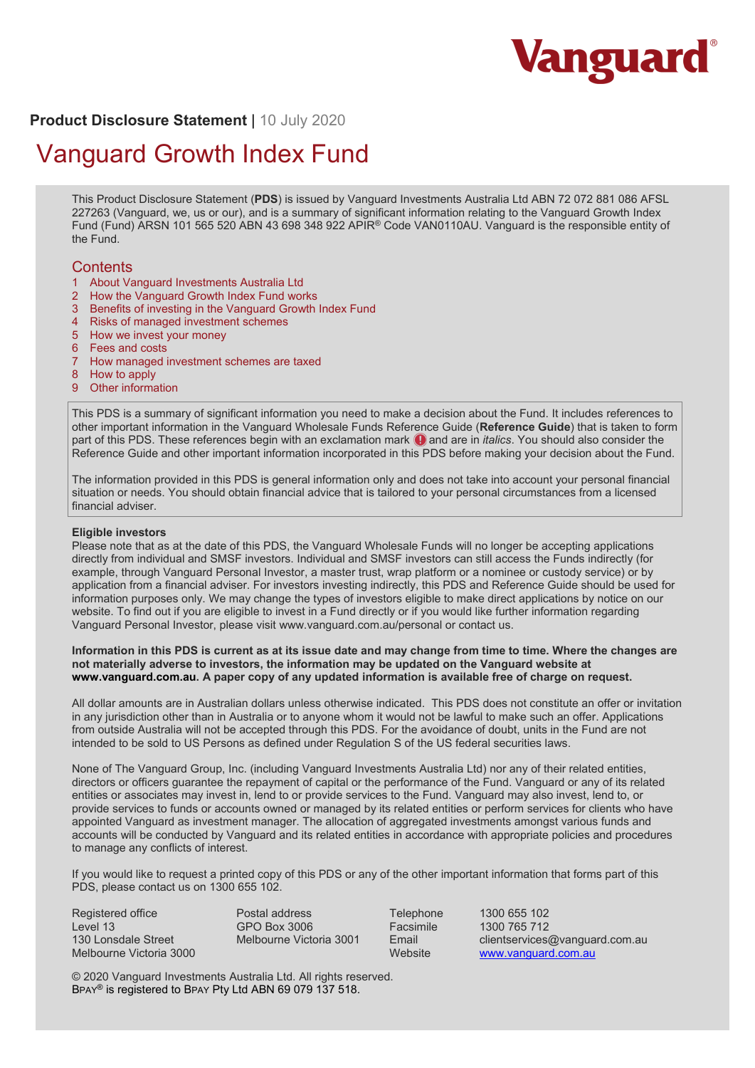

# **Product Disclosure Statement** | 10 July 2020

# Vanguard Growth Index Fund

This Product Disclosure Statement (**PDS**) is issued by Vanguard Investments Australia Ltd ABN 72 072 881 086 AFSL 227263 (Vanguard, we, us or our), and is a summary of significant information relating to the Vanguard Growth Index Fund (Fund) ARSN 101 565 520 ABN 43 698 348 922 APIR<sup>®</sup> Code VAN0110AU. Vanguard is the responsible entity of the Fund.

## **Contents**

- 1 About Vanguard Investments Australia Ltd
- 2 How the Vanguard Growth Index Fund works
- 3 Benefits of investing in the Vanguard Growth Index Fund
- 4 Risks of managed investment schemes
- 5 How we invest your money
- 6 Fees and costs<br>7 How managed i
- 7 How managed investment schemes are taxed
- 8 How to apply
- 9 Other information

This PDS is a summary of significant information you need to make a decision about the Fund. It includes references to other important information in the Vanguard Wholesale Funds Reference Guide (**Reference Guide**) that is taken to form part of this PDS. These references begin with an exclamation mark  $\bigcirc$  and are in *italics*. You should also consider the Reference Guide and other important information incorporated in this PDS before making your decision about the Fund.

The information provided in this PDS is general information only and does not take into account your personal financial situation or needs. You should obtain financial advice that is tailored to your personal circumstances from a licensed financial adviser.

#### **Eligible investors**

Please note that as at the date of this PDS, the Vanguard Wholesale Funds will no longer be accepting applications directly from individual and SMSF investors. Individual and SMSF investors can still access the Funds indirectly (for example, through Vanguard Personal Investor, a master trust, wrap platform or a nominee or custody service) or by application from a financial adviser. For investors investing indirectly, this PDS and Reference Guide should be used for information purposes only. We may change the types of investors eligible to make direct applications by notice on our website. To find out if you are eligible to invest in a Fund directly or if you would like further information regarding Vanguard Personal Investor, please visit www.vanguard.com.au/personal or contact us.

#### **Information in this PDS is current as at its issue date and may change from time to time. Where the changes are not materially adverse to investors, the information may be updated on the Vanguard website at www.vanguard.com.au. A paper copy of any updated information is available free of charge on request.**

All dollar amounts are in Australian dollars unless otherwise indicated. This PDS does not constitute an offer or invitation in any jurisdiction other than in Australia or to anyone whom it would not be lawful to make such an offer. Applications from outside Australia will not be accepted through this PDS. For the avoidance of doubt, units in the Fund are not intended to be sold to US Persons as defined under Regulation S of the US federal securities laws.

None of The Vanguard Group, Inc. (including Vanguard Investments Australia Ltd) nor any of their related entities, directors or officers guarantee the repayment of capital or the performance of the Fund. Vanguard or any of its related entities or associates may invest in, lend to or provide services to the Fund. Vanguard may also invest, lend to, or provide services to funds or accounts owned or managed by its related entities or perform services for clients who have appointed Vanguard as investment manager. The allocation of aggregated investments amongst various funds and accounts will be conducted by Vanguard and its related entities in accordance with appropriate policies and procedures to manage any conflicts of interest.

If you would like to request a printed copy of this PDS or any of the other important information that forms part of this PDS, please contact us on 1300 655 102.

Registered office Level 13 130 Lonsdale Street Melbourne Victoria 3000 Postal address GPO Box 3006 Melbourne Victoria 3001

Telephone 1300 655 102<br>
Facsimile 1300 765 712 Facsimile 1300 765 712<br>Fmail clientservices Email clientservices@vanguard.com.au<br>Website www.vanguard.com.au www.vanguard.com.au

© 2020 Vanguard Investments Australia Ltd. All rights reserved. BPAY® is registered to BPAY Pty Ltd ABN 69 079 137 518.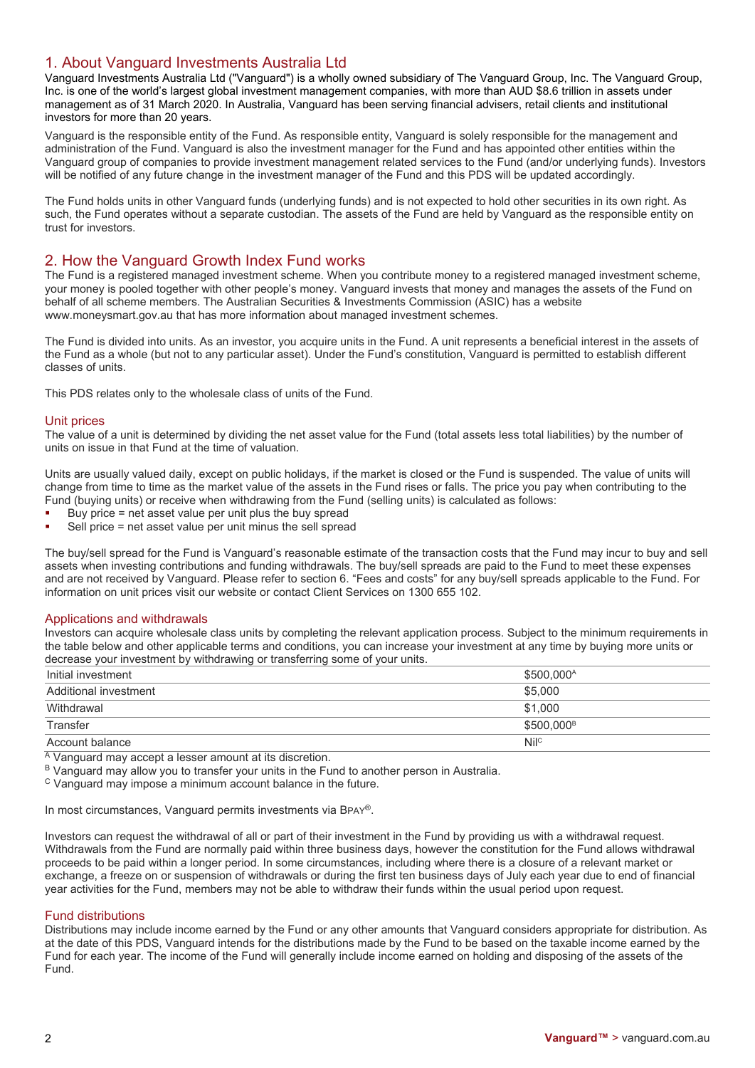# 1. About Vanguard Investments Australia Ltd

Vanguard Investments Australia Ltd ("Vanguard") is a wholly owned subsidiary of The Vanguard Group, Inc. The Vanguard Group, Inc. is one of the world's largest global investment management companies, with more than AUD \$8.6 trillion in assets under management as of 31 March 2020. In Australia, Vanguard has been serving financial advisers, retail clients and institutional investors for more than 20 years.

Vanguard is the responsible entity of the Fund. As responsible entity, Vanguard is solely responsible for the management and administration of the Fund. Vanguard is also the investment manager for the Fund and has appointed other entities within the Vanguard group of companies to provide investment management related services to the Fund (and/or underlying funds). Investors will be notified of any future change in the investment manager of the Fund and this PDS will be updated accordingly.

The Fund holds units in other Vanguard funds (underlying funds) and is not expected to hold other securities in its own right. As such, the Fund operates without a separate custodian. The assets of the Fund are held by Vanguard as the responsible entity on trust for investors.

# 2. How the Vanguard Growth Index Fund works

The Fund is a registered managed investment scheme. When you contribute money to a registered managed investment scheme, your money is pooled together with other people's money. Vanguard invests that money and manages the assets of the Fund on behalf of all scheme members. The Australian Securities & Investments Commission (ASIC) has a website www.moneysmart.gov.au that has more information about managed investment schemes.

The Fund is divided into units. As an investor, you acquire units in the Fund. A unit represents a beneficial interest in the assets of the Fund as a whole (but not to any particular asset). Under the Fund's constitution, Vanguard is permitted to establish different classes of units.

This PDS relates only to the wholesale class of units of the Fund.

## Unit prices

The value of a unit is determined by dividing the net asset value for the Fund (total assets less total liabilities) by the number of units on issue in that Fund at the time of valuation.

Units are usually valued daily, except on public holidays, if the market is closed or the Fund is suspended. The value of units will change from time to time as the market value of the assets in the Fund rises or falls. The price you pay when contributing to the Fund (buying units) or receive when withdrawing from the Fund (selling units) is calculated as follows:

- Buy price = net asset value per unit plus the buy spread
- Sell price = net asset value per unit minus the sell spread

The buy/sell spread for the Fund is Vanguard's reasonable estimate of the transaction costs that the Fund may incur to buy and sell assets when investing contributions and funding withdrawals. The buy/sell spreads are paid to the Fund to meet these expenses and are not received by Vanguard. Please refer to section 6. "Fees and costs" for any buy/sell spreads applicable to the Fund. For information on unit prices visit our website or contact Client Services on 1300 655 102.

#### Applications and withdrawals

Investors can acquire wholesale class units by completing the relevant application process. Subject to the minimum requirements in the table below and other applicable terms and conditions, you can increase your investment at any time by buying more units or decrease your investment by withdrawing or transferring some of your units.

| Initial investment    | \$500.000 <sup>A</sup> |
|-----------------------|------------------------|
| Additional investment | \$5.000                |
| Withdrawal            | \$1,000                |
| Transfer              | \$500.000 <sup>B</sup> |
| Account balance       | Nil <sup>c</sup>       |

 $\overline{A}$  Vanguard may accept a lesser amount at its discretion.

B Vanguard may allow you to transfer your units in the Fund to another person in Australia.

<sup>C</sup> Vanguard may impose a minimum account balance in the future.

In most circumstances, Vanguard permits investments via BPAY®.

Investors can request the withdrawal of all or part of their investment in the Fund by providing us with a withdrawal request. Withdrawals from the Fund are normally paid within three business days, however the constitution for the Fund allows withdrawal proceeds to be paid within a longer period. In some circumstances, including where there is a closure of a relevant market or exchange, a freeze on or suspension of withdrawals or during the first ten business days of July each year due to end of financial year activities for the Fund, members may not be able to withdraw their funds within the usual period upon request.

#### Fund distributions

Distributions may include income earned by the Fund or any other amounts that Vanguard considers appropriate for distribution. As at the date of this PDS, Vanguard intends for the distributions made by the Fund to be based on the taxable income earned by the Fund for each year. The income of the Fund will generally include income earned on holding and disposing of the assets of the Fund.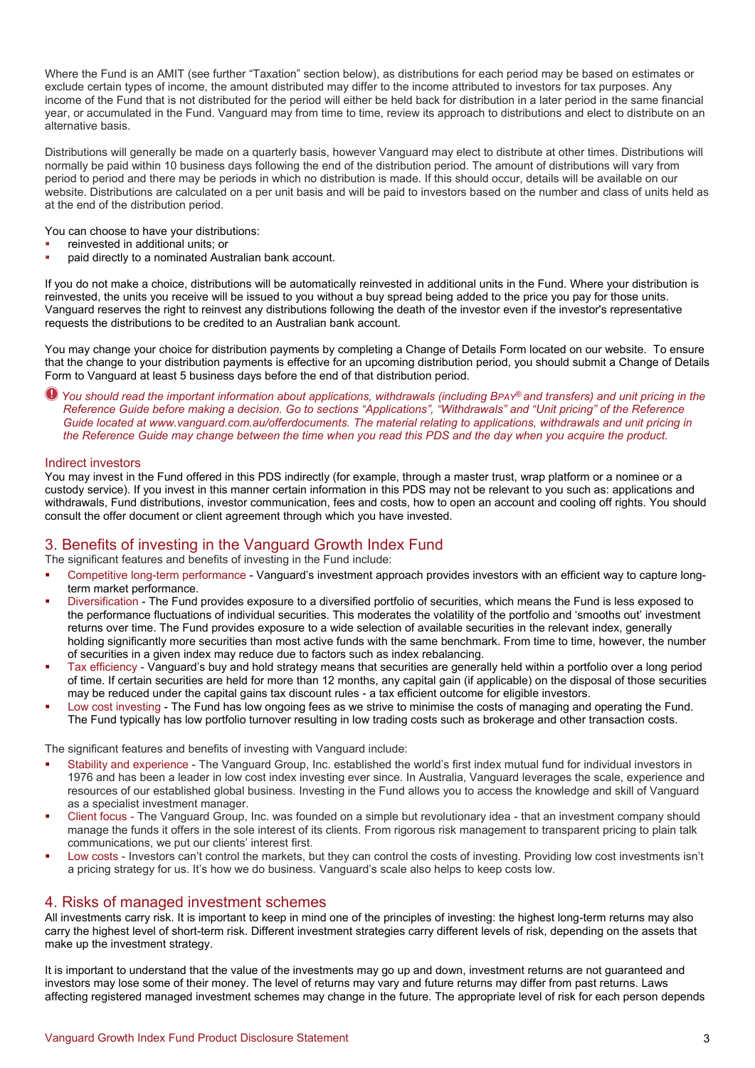Where the Fund is an AMIT (see further "Taxation" section below), as distributions for each period may be based on estimates or exclude certain types of income, the amount distributed may differ to the income attributed to investors for tax purposes. Any income of the Fund that is not distributed for the period will either be held back for distribution in a later period in the same financial year, or accumulated in the Fund. Vanguard may from time to time, review its approach to distributions and elect to distribute on an alternative basis.

Distributions will generally be made on a quarterly basis, however Vanguard may elect to distribute at other times. Distributions will normally be paid within 10 business days following the end of the distribution period. The amount of distributions will vary from period to period and there may be periods in which no distribution is made. If this should occur, details will be available on our website. Distributions are calculated on a per unit basis and will be paid to investors based on the number and class of units held as at the end of the distribution period.

You can choose to have your distributions:

- reinvested in additional units; or
- paid directly to a nominated Australian bank account.

If you do not make a choice, distributions will be automatically reinvested in additional units in the Fund. Where your distribution is reinvested, the units you receive will be issued to you without a buy spread being added to the price you pay for those units. Vanguard reserves the right to reinvest any distributions following the death of the investor even if the investor's representative requests the distributions to be credited to an Australian bank account.

You may change your choice for distribution payments by completing a Change of Details Form located on our website. To ensure that the change to your distribution payments is effective for an upcoming distribution period, you should submit a Change of Details Form to Vanguard at least 5 business days before the end of that distribution period.

*You should read the important information about applications, withdrawals (including BPAY® and transfers) and unit pricing in the Reference Guide before making a decision. Go to sections "Applications", "Withdrawals" and "Unit pricing" of the Reference Guide located at www.vanguard.com.au/offerdocuments. The material relating to applications, withdrawals and unit pricing in the Reference Guide may change between the time when you read this PDS and the day when you acquire the product.*

#### Indirect investors

You may invest in the Fund offered in this PDS indirectly (for example, through a master trust, wrap platform or a nominee or a custody service). If you invest in this manner certain information in this PDS may not be relevant to you such as: applications and withdrawals, Fund distributions, investor communication, fees and costs, how to open an account and cooling off rights. You should consult the offer document or client agreement through which you have invested.

# 3. Benefits of investing in the Vanguard Growth Index Fund

The significant features and benefits of investing in the Fund include:

- Competitive long-term performance Vanguard's investment approach provides investors with an efficient way to capture longterm market performance.
- Diversification The Fund provides exposure to a diversified portfolio of securities, which means the Fund is less exposed to the performance fluctuations of individual securities. This moderates the volatility of the portfolio and 'smooths out' investment returns over time. The Fund provides exposure to a wide selection of available securities in the relevant index, generally holding significantly more securities than most active funds with the same benchmark. From time to time, however, the number of securities in a given index may reduce due to factors such as index rebalancing.
- Tax efficiency Vanguard's buy and hold strategy means that securities are generally held within a portfolio over a long period of time. If certain securities are held for more than 12 months, any capital gain (if applicable) on the disposal of those securities may be reduced under the capital gains tax discount rules - a tax efficient outcome for eligible investors.
- Low cost investing The Fund has low ongoing fees as we strive to minimise the costs of managing and operating the Fund. The Fund typically has low portfolio turnover resulting in low trading costs such as brokerage and other transaction costs.

The significant features and benefits of investing with Vanguard include:

- Stability and experience The Vanguard Group, Inc. established the world's first index mutual fund for individual investors in 1976 and has been a leader in low cost index investing ever since. In Australia, Vanguard leverages the scale, experience and resources of our established global business. Investing in the Fund allows you to access the knowledge and skill of Vanguard as a specialist investment manager.
- Client focus The Vanguard Group, Inc. was founded on a simple but revolutionary idea that an investment company should manage the funds it offers in the sole interest of its clients. From rigorous risk management to transparent pricing to plain talk communications, we put our clients' interest first.
- Low costs Investors can't control the markets, but they can control the costs of investing. Providing low cost investments isn't a pricing strategy for us. It's how we do business. Vanguard's scale also helps to keep costs low.

## 4. Risks of managed investment schemes

All investments carry risk. It is important to keep in mind one of the principles of investing: the highest long-term returns may also carry the highest level of short-term risk. Different investment strategies carry different levels of risk, depending on the assets that make up the investment strategy.

It is important to understand that the value of the investments may go up and down, investment returns are not guaranteed and investors may lose some of their money. The level of returns may vary and future returns may differ from past returns. Laws affecting registered managed investment schemes may change in the future. The appropriate level of risk for each person depends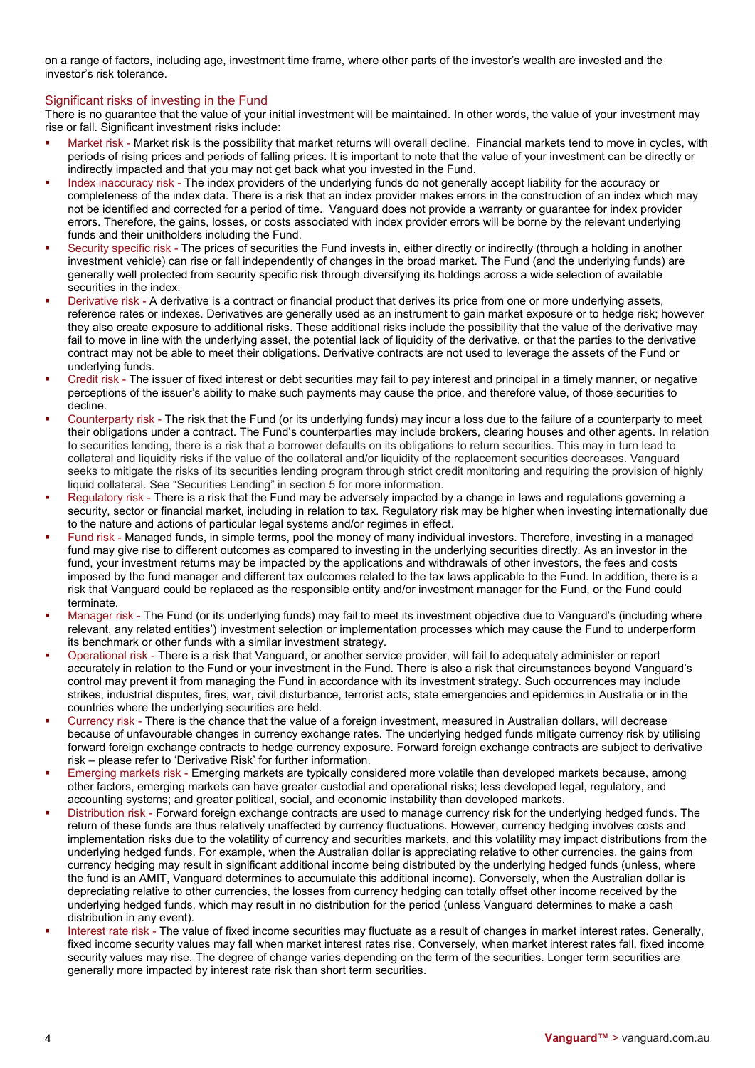on a range of factors, including age, investment time frame, where other parts of the investor's wealth are invested and the investor's risk tolerance.

# Significant risks of investing in the Fund

There is no guarantee that the value of your initial investment will be maintained. In other words, the value of your investment may rise or fall. Significant investment risks include:

- Market risk Market risk is the possibility that market returns will overall decline. Financial markets tend to move in cycles, with periods of rising prices and periods of falling prices. It is important to note that the value of your investment can be directly or indirectly impacted and that you may not get back what you invested in the Fund.
- Index inaccuracy risk The index providers of the underlying funds do not generally accept liability for the accuracy or completeness of the index data. There is a risk that an index provider makes errors in the construction of an index which may not be identified and corrected for a period of time. Vanguard does not provide a warranty or guarantee for index provider errors. Therefore, the gains, losses, or costs associated with index provider errors will be borne by the relevant underlying funds and their unitholders including the Fund.
- Security specific risk The prices of securities the Fund invests in, either directly or indirectly (through a holding in another investment vehicle) can rise or fall independently of changes in the broad market. The Fund (and the underlying funds) are generally well protected from security specific risk through diversifying its holdings across a wide selection of available securities in the index.
- Derivative risk A derivative is a contract or financial product that derives its price from one or more underlying assets, reference rates or indexes. Derivatives are generally used as an instrument to gain market exposure or to hedge risk; however they also create exposure to additional risks. These additional risks include the possibility that the value of the derivative may fail to move in line with the underlying asset, the potential lack of liquidity of the derivative, or that the parties to the derivative contract may not be able to meet their obligations. Derivative contracts are not used to leverage the assets of the Fund or underlying funds.
- Credit risk The issuer of fixed interest or debt securities may fail to pay interest and principal in a timely manner, or negative perceptions of the issuer's ability to make such payments may cause the price, and therefore value, of those securities to decline.
- Counterparty risk The risk that the Fund (or its underlying funds) may incur a loss due to the failure of a counterparty to meet their obligations under a contract. The Fund's counterparties may include brokers, clearing houses and other agents. In relation to securities lending, there is a risk that a borrower defaults on its obligations to return securities. This may in turn lead to collateral and liquidity risks if the value of the collateral and/or liquidity of the replacement securities decreases. Vanguard seeks to mitigate the risks of its securities lending program through strict credit monitoring and requiring the provision of highly liquid collateral. See "Securities Lending" in section 5 for more information.
- Regulatory risk There is a risk that the Fund may be adversely impacted by a change in laws and regulations governing a security, sector or financial market, including in relation to tax. Regulatory risk may be higher when investing internationally due to the nature and actions of particular legal systems and/or regimes in effect.
- Fund risk Managed funds, in simple terms, pool the money of many individual investors. Therefore, investing in a managed fund may give rise to different outcomes as compared to investing in the underlying securities directly. As an investor in the fund, your investment returns may be impacted by the applications and withdrawals of other investors, the fees and costs imposed by the fund manager and different tax outcomes related to the tax laws applicable to the Fund. In addition, there is a risk that Vanguard could be replaced as the responsible entity and/or investment manager for the Fund, or the Fund could terminate.
- Manager risk The Fund (or its underlying funds) may fail to meet its investment objective due to Vanguard's (including where relevant, any related entities') investment selection or implementation processes which may cause the Fund to underperform its benchmark or other funds with a similar investment strategy.
- Operational risk There is a risk that Vanguard, or another service provider, will fail to adequately administer or report accurately in relation to the Fund or your investment in the Fund. There is also a risk that circumstances beyond Vanguard's control may prevent it from managing the Fund in accordance with its investment strategy. Such occurrences may include strikes, industrial disputes, fires, war, civil disturbance, terrorist acts, state emergencies and epidemics in Australia or in the countries where the underlying securities are held.
- Currency risk There is the chance that the value of a foreign investment, measured in Australian dollars, will decrease because of unfavourable changes in currency exchange rates. The underlying hedged funds mitigate currency risk by utilising forward foreign exchange contracts to hedge currency exposure. Forward foreign exchange contracts are subject to derivative risk – please refer to 'Derivative Risk' for further information.
- Emerging markets risk Emerging markets are typically considered more volatile than developed markets because, among other factors, emerging markets can have greater custodial and operational risks; less developed legal, regulatory, and accounting systems; and greater political, social, and economic instability than developed markets.
- Distribution risk Forward foreign exchange contracts are used to manage currency risk for the underlying hedged funds. The return of these funds are thus relatively unaffected by currency fluctuations. However, currency hedging involves costs and implementation risks due to the volatility of currency and securities markets, and this volatility may impact distributions from the underlying hedged funds. For example, when the Australian dollar is appreciating relative to other currencies, the gains from currency hedging may result in significant additional income being distributed by the underlying hedged funds (unless, where the fund is an AMIT, Vanguard determines to accumulate this additional income). Conversely, when the Australian dollar is depreciating relative to other currencies, the losses from currency hedging can totally offset other income received by the underlying hedged funds, which may result in no distribution for the period (unless Vanguard determines to make a cash distribution in any event).
- Interest rate risk The value of fixed income securities may fluctuate as a result of changes in market interest rates. Generally, fixed income security values may fall when market interest rates rise. Conversely, when market interest rates fall, fixed income security values may rise. The degree of change varies depending on the term of the securities. Longer term securities are generally more impacted by interest rate risk than short term securities.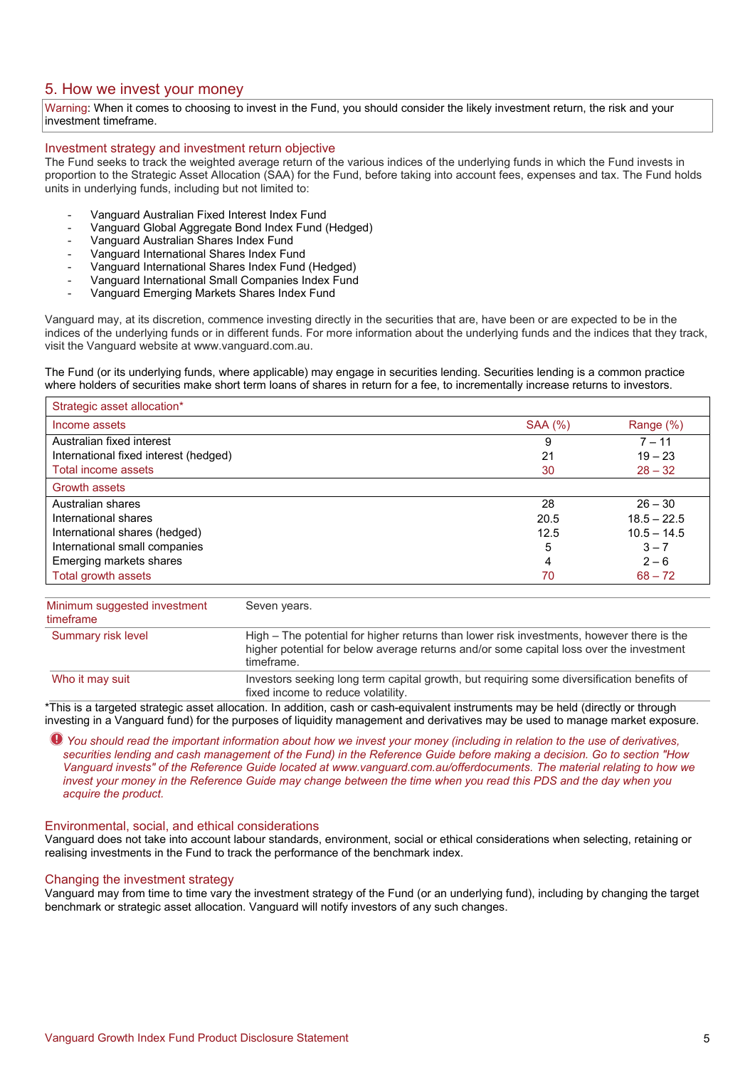# 5. How we invest your money

Warning: When it comes to choosing to invest in the Fund, you should consider the likely investment return, the risk and your investment timeframe.

## Investment strategy and investment return objective

The Fund seeks to track the weighted average return of the various indices of the underlying funds in which the Fund invests in proportion to the Strategic Asset Allocation (SAA) for the Fund, before taking into account fees, expenses and tax. The Fund holds units in underlying funds, including but not limited to:

- Vanguard Australian Fixed Interest Index Fund
- Vanguard Global Aggregate Bond Index Fund (Hedged)
- Vanguard Australian Shares Index Fund
- Vanguard International Shares Index Fund
- Vanguard International Shares Index Fund (Hedged)
- Vanguard International Small Companies Index Fund
- Vanguard Emerging Markets Shares Index Fund

Vanguard may, at its discretion, commence investing directly in the securities that are, have been or are expected to be in the indices of the underlying funds or in different funds. For more information about the underlying funds and the indices that they track, visit the Vanguard website at www.vanguard.com.au.

The Fund (or its underlying funds, where applicable) may engage in securities lending. Securities lending is a common practice where holders of securities make short term loans of shares in return for a fee, to incrementally increase returns to investors.

| Strategic asset allocation*           |                |               |
|---------------------------------------|----------------|---------------|
| Income assets                         | <b>SAA (%)</b> | Range (%)     |
| Australian fixed interest             | 9              | $7 - 11$      |
| International fixed interest (hedged) | 21             | $19 - 23$     |
| Total income assets                   | 30             | $28 - 32$     |
| <b>Growth assets</b>                  |                |               |
| Australian shares                     | 28             | $26 - 30$     |
| International shares                  | 20.5           | $18.5 - 22.5$ |
| International shares (hedged)         | 12.5           | $10.5 - 14.5$ |
| International small companies         | 5              | $3 - 7$       |
| Emerging markets shares               | 4              | $2 - 6$       |
| Total growth assets                   | 70             | $68 - 72$     |

| Minimum suggested investment<br>timeframe | Seven years.                                                                                                                                                                                       |  |
|-------------------------------------------|----------------------------------------------------------------------------------------------------------------------------------------------------------------------------------------------------|--|
| Summary risk level                        | High – The potential for higher returns than lower risk investments, however there is the<br>higher potential for below average returns and/or some capital loss over the investment<br>timeframe. |  |
| Who it may suit                           | Investors seeking long term capital growth, but requiring some diversification benefits of<br>fixed income to reduce volatility.                                                                   |  |

\*This is a targeted strategic asset allocation. In addition, cash or cash-equivalent instruments may be held (directly or through investing in a Vanguard fund) for the purposes of liquidity management and derivatives may be used to manage market exposure.

*You should read the important information about how we invest your money (including in relation to the use of derivatives, securities lending and cash management of the Fund) in the Reference Guide before making a decision. Go to section "How Vanguard invests" of the Reference Guide located at www.vanguard.com.au/offerdocuments. The material relating to how we invest your money in the Reference Guide may change between the time when you read this PDS and the day when you acquire the product.*

#### Environmental, social, and ethical considerations

Vanguard does not take into account labour standards, environment, social or ethical considerations when selecting, retaining or realising investments in the Fund to track the performance of the benchmark index.

#### Changing the investment strategy

Vanguard may from time to time vary the investment strategy of the Fund (or an underlying fund), including by changing the target benchmark or strategic asset allocation. Vanguard will notify investors of any such changes.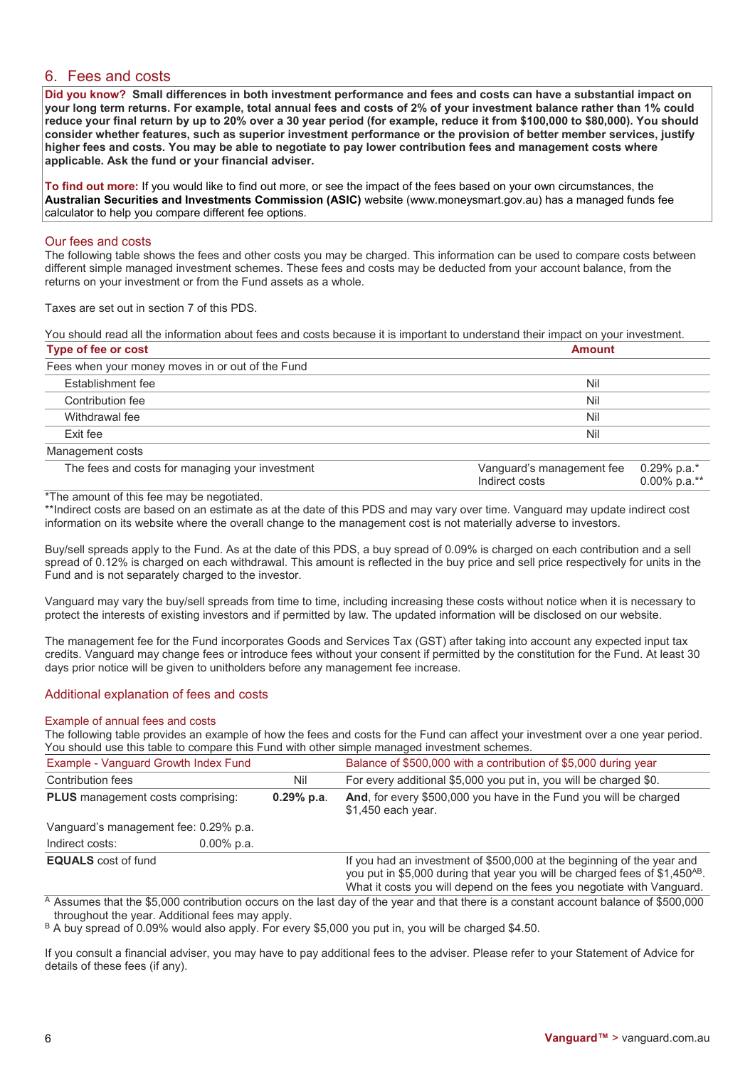# 6. Fees and costs

**Did you know? Small differences in both investment performance and fees and costs can have a substantial impact on your long term returns. For example, total annual fees and costs of 2% of your investment balance rather than 1% could reduce your final return by up to 20% over a 30 year period (for example, reduce it from \$100,000 to \$80,000). You should consider whether features, such as superior investment performance or the provision of better member services, justify higher fees and costs. You may be able to negotiate to pay lower contribution fees and management costs where applicable. Ask the fund or your financial adviser.**

**To find out more:** If you would like to find out more, or see the impact of the fees based on your own circumstances, the **Australian Securities and Investments Commission (ASIC)** website (www.moneysmart.gov.au) has a managed funds fee calculator to help you compare different fee options.

## Our fees and costs

The following table shows the fees and other costs you may be charged. This information can be used to compare costs between different simple managed investment schemes. These fees and costs may be deducted from your account balance, from the returns on your investment or from the Fund assets as a whole.

Taxes are set out in section 7 of this PDS.

You should read all the information about fees and costs because it is important to understand their impact on your investment. **Type of fee or cost Amount**

|                                                  | .   |  |
|--------------------------------------------------|-----|--|
| Fees when your money moves in or out of the Fund |     |  |
| Establishment fee                                | Nil |  |
| Contribution fee                                 | Nil |  |
| Withdrawal fee                                   | Nil |  |
| Exit fee                                         | Nil |  |
| Management costs                                 |     |  |

| The fees and costs for managing your investment | Vanguard's management fee 0.29% p.a.*<br>Indirect costs | $0.00\%$ p.a.** |
|-------------------------------------------------|---------------------------------------------------------|-----------------|
| he amount of this fee may be negatiated         |                                                         |                 |

\*The amount of this fee may be negotiated.

\*\*Indirect costs are based on an estimate as at the date of this PDS and may vary over time. Vanguard may update indirect cost information on its website where the overall change to the management cost is not materially adverse to investors.

Buy/sell spreads apply to the Fund. As at the date of this PDS, a buy spread of 0.09% is charged on each contribution and a sell spread of 0.12% is charged on each withdrawal. This amount is reflected in the buy price and sell price respectively for units in the Fund and is not separately charged to the investor.

Vanguard may vary the buy/sell spreads from time to time, including increasing these costs without notice when it is necessary to protect the interests of existing investors and if permitted by law. The updated information will be disclosed on our website.

The management fee for the Fund incorporates Goods and Services Tax (GST) after taking into account any expected input tax credits. Vanguard may change fees or introduce fees without your consent if permitted by the constitution for the Fund. At least 30 days prior notice will be given to unitholders before any management fee increase.

## Additional explanation of fees and costs

## Example of annual fees and costs

The following table provides an example of how the fees and costs for the Fund can affect your investment over a one year period. You should use this table to compare this Fund with other simple managed investment schemes.

| Example - Vanguard Growth Index Fund     |               |              | Balance of \$500,000 with a contribution of \$5,000 during year                                                                                                                                                                             |
|------------------------------------------|---------------|--------------|---------------------------------------------------------------------------------------------------------------------------------------------------------------------------------------------------------------------------------------------|
| <b>Contribution fees</b>                 |               | Nil          | For every additional \$5,000 you put in, you will be charged \$0.                                                                                                                                                                           |
| <b>PLUS</b> management costs comprising: |               | $0.29%$ p.a. | And, for every \$500,000 you have in the Fund you will be charged<br>\$1,450 each year.                                                                                                                                                     |
| Vanguard's management fee: 0.29% p.a.    |               |              |                                                                                                                                                                                                                                             |
| Indirect costs:                          | $0.00\%$ p.a. |              |                                                                                                                                                                                                                                             |
| <b>EQUALS</b> cost of fund               |               |              | If you had an investment of \$500,000 at the beginning of the year and<br>you put in \$5,000 during that year you will be charged fees of \$1,450 <sup>AB</sup> .<br>What it costs you will depend on the fees you negotiate with Vanguard. |

 $\overline{A}$  Assumes that the \$5,000 contribution occurs on the last day of the year and that there is a constant account balance of \$500,000 throughout the year. Additional fees may apply.

B A buv spread of 0.09% would also apply. For every \$5,000 you put in, you will be charged \$4.50.

If you consult a financial adviser, you may have to pay additional fees to the adviser. Please refer to your Statement of Advice for details of these fees (if any).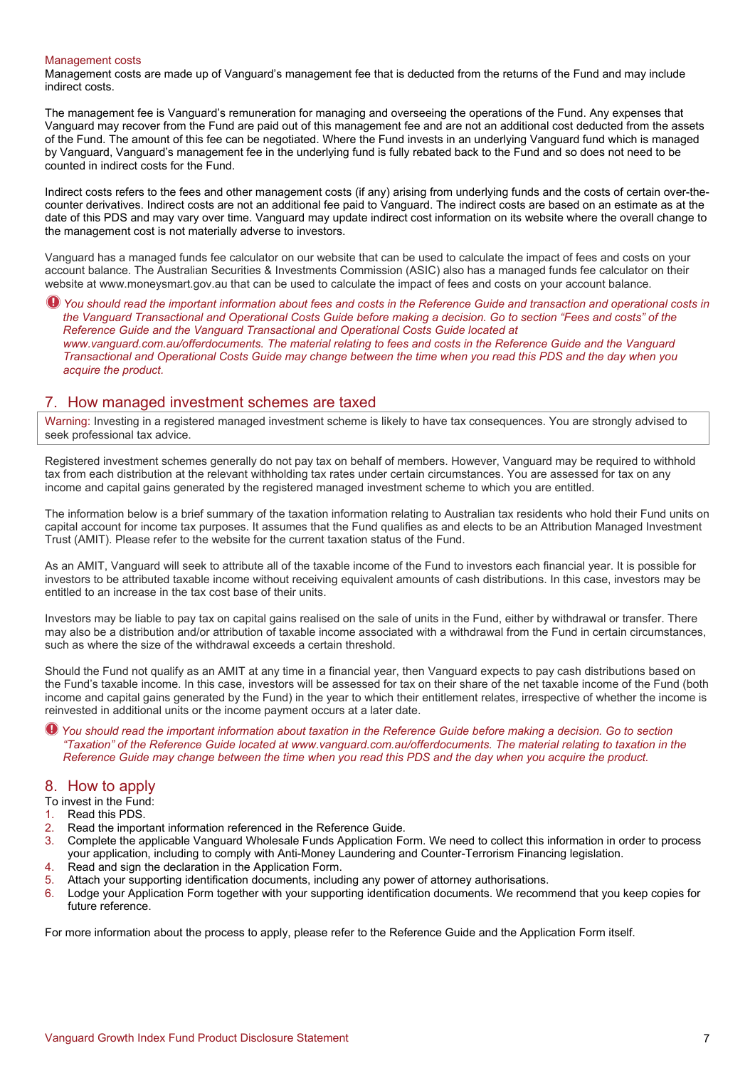#### Management costs

Management costs are made up of Vanguard's management fee that is deducted from the returns of the Fund and may include indirect costs.

The management fee is Vanguard's remuneration for managing and overseeing the operations of the Fund. Any expenses that Vanguard may recover from the Fund are paid out of this management fee and are not an additional cost deducted from the assets of the Fund. The amount of this fee can be negotiated. Where the Fund invests in an underlying Vanguard fund which is managed by Vanguard, Vanguard's management fee in the underlying fund is fully rebated back to the Fund and so does not need to be counted in indirect costs for the Fund.

Indirect costs refers to the fees and other management costs (if any) arising from underlying funds and the costs of certain over-thecounter derivatives. Indirect costs are not an additional fee paid to Vanguard. The indirect costs are based on an estimate as at the date of this PDS and may vary over time. Vanguard may update indirect cost information on its website where the overall change to the management cost is not materially adverse to investors.

Vanguard has a managed funds fee calculator on our website that can be used to calculate the impact of fees and costs on your account balance. The Australian Securities & Investments Commission (ASIC) also has a managed funds fee calculator on their website at www.moneysmart.gov.au that can be used to calculate the impact of fees and costs on your account balance.

*You should read the important information about fees and costs in the Reference Guide and transaction and operational costs in the Vanguard Transactional and Operational Costs Guide before making a decision. Go to section "Fees and costs" of the Reference Guide and the Vanguard Transactional and Operational Costs Guide located at www.vanguard.com.au/offerdocuments. The material relating to fees and costs in the Reference Guide and the Vanguard Transactional and Operational Costs Guide may change between the time when you read this PDS and the day when you acquire the product.*

## 7. How managed investment schemes are taxed

Warning: Investing in a registered managed investment scheme is likely to have tax consequences. You are strongly advised to seek professional tax advice.

Registered investment schemes generally do not pay tax on behalf of members. However, Vanguard may be required to withhold tax from each distribution at the relevant withholding tax rates under certain circumstances. You are assessed for tax on any income and capital gains generated by the registered managed investment scheme to which you are entitled.

The information below is a brief summary of the taxation information relating to Australian tax residents who hold their Fund units on capital account for income tax purposes. It assumes that the Fund qualifies as and elects to be an Attribution Managed Investment Trust (AMIT). Please refer to the website for the current taxation status of the Fund.

As an AMIT, Vanguard will seek to attribute all of the taxable income of the Fund to investors each financial year. It is possible for investors to be attributed taxable income without receiving equivalent amounts of cash distributions. In this case, investors may be entitled to an increase in the tax cost base of their units.

Investors may be liable to pay tax on capital gains realised on the sale of units in the Fund, either by withdrawal or transfer. There may also be a distribution and/or attribution of taxable income associated with a withdrawal from the Fund in certain circumstances, such as where the size of the withdrawal exceeds a certain threshold.

Should the Fund not qualify as an AMIT at any time in a financial year, then Vanguard expects to pay cash distributions based on the Fund's taxable income. In this case, investors will be assessed for tax on their share of the net taxable income of the Fund (both income and capital gains generated by the Fund) in the year to which their entitlement relates, irrespective of whether the income is reinvested in additional units or the income payment occurs at a later date.

*You should read the important information about taxation in the Reference Guide before making a decision. Go to section "Taxation" of the Reference Guide located at www.vanguard.com.au/offerdocuments. The material relating to taxation in the Reference Guide may change between the time when you read this PDS and the day when you acquire the product.* 

# 8. How to apply

- To invest in the Fund:
- 1. Read this PDS.
- 2. Read the important information referenced in the Reference Guide.<br>3. Complete the applicable Vanguard Wholesale Funds Application Fo
- 3. Complete the applicable Vanguard Wholesale Funds Application Form. We need to collect this information in order to process your application, including to comply with Anti-Money Laundering and Counter-Terrorism Financing legislation.
- 4. Read and sign the declaration in the Application Form.
- 5. Attach your supporting identification documents, including any power of attorney authorisations.
- 6. Lodge your Application Form together with your supporting identification documents. We recommend that you keep copies for future reference.

For more information about the process to apply, please refer to the Reference Guide and the Application Form itself.